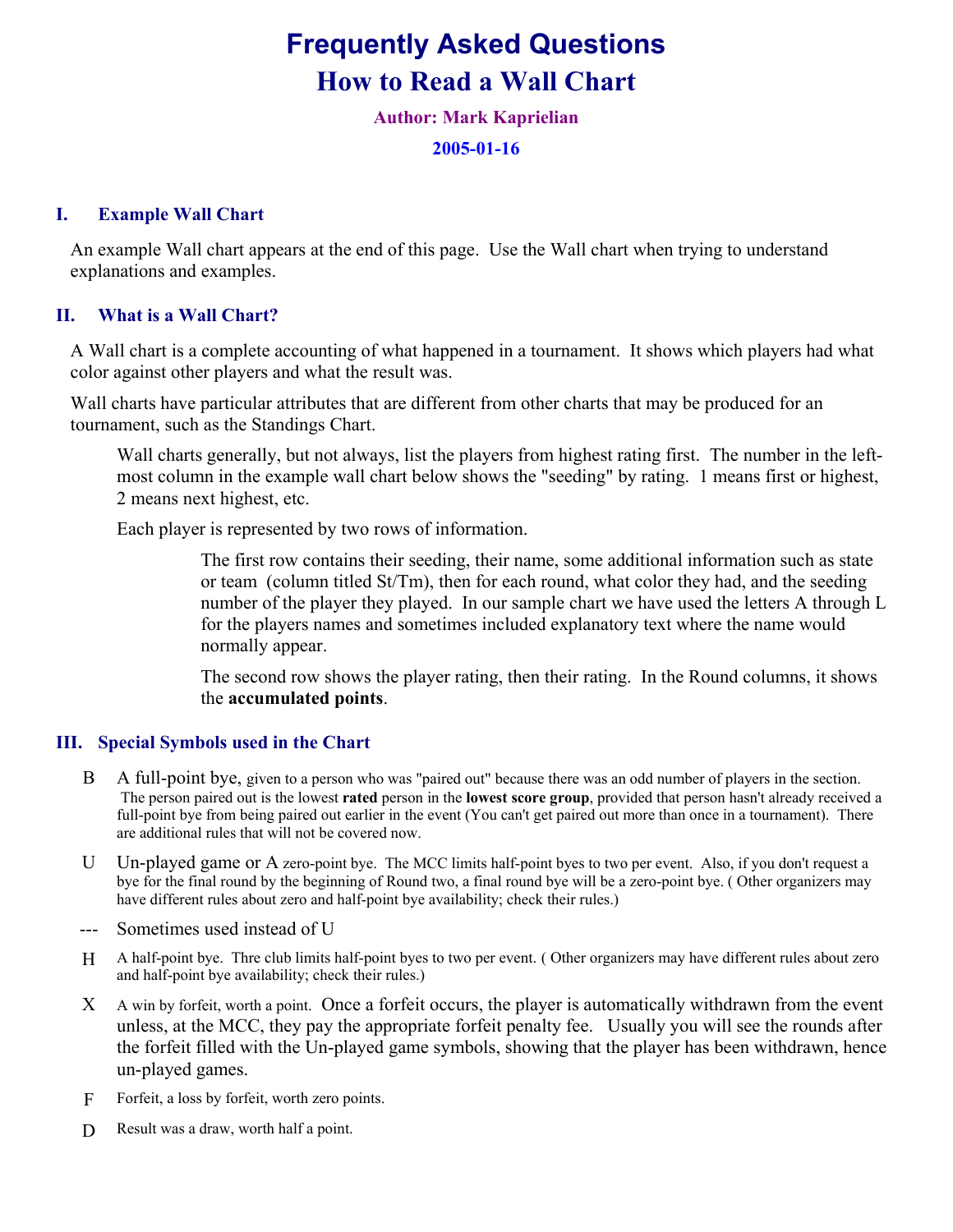# Frequently Asked Questions How to Read a Wall Chart

Author: Mark Kaprielian

2005-01-16

### I. Example Wall Chart

An example Wall chart appears at the end of this page. Use the Wall chart when trying to understand explanations and examples.

### II. What is a Wall Chart?

 A Wall chart is a complete accounting of what happened in a tournament. It shows which players had what color against other players and what the result was.

 Wall charts have particular attributes that are different from other charts that may be produced for an tournament, such as the Standings Chart.

 Wall charts generally, but not always, list the players from highest rating first. The number in the leftmost column in the example wall chart below shows the "seeding" by rating. 1 means first or highest, 2 means next highest, etc.

Each player is represented by two rows of information.

 The first row contains their seeding, their name, some additional information such as state or team (column titled St/Tm), then for each round, what color they had, and the seeding number of the player they played. In our sample chart we have used the letters A through L for the players names and sometimes included explanatory text where the name would normally appear.

 The second row shows the player rating, then their rating. In the Round columns, it shows the accumulated points.

#### III. Special Symbols used in the Chart

- B A full-point bye, given to a person who was "paired out" because there was an odd number of players in the section. The person paired out is the lowest rated person in the lowest score group, provided that person hasn't already received a full-point bye from being paired out earlier in the event (You can't get paired out more than once in a tournament). There are additional rules that will not be covered now.
- U Un-played game or A zero-point bye. The MCC limits half-point byes to two per event. Also, if you don't request a bye for the final round by the beginning of Round two, a final round bye will be a zero-point bye. ( Other organizers may have different rules about zero and half-point bye availability; check their rules.)
- --- Sometimes used instead of U
- H A half-point bye. Thre club limits half-point byes to two per event. ( Other organizers may have different rules about zero and half-point bye availability; check their rules.)
- X A win by forfeit, worth a point. Once a forfeit occurs, the player is automatically withdrawn from the event unless, at the MCC, they pay the appropriate forfeit penalty fee. Usually you will see the rounds after the forfeit filled with the Un-played game symbols, showing that the player has been withdrawn, hence un-played games.
- F Forfeit, a loss by forfeit, worth zero points.
- D Result was a draw, worth half a point.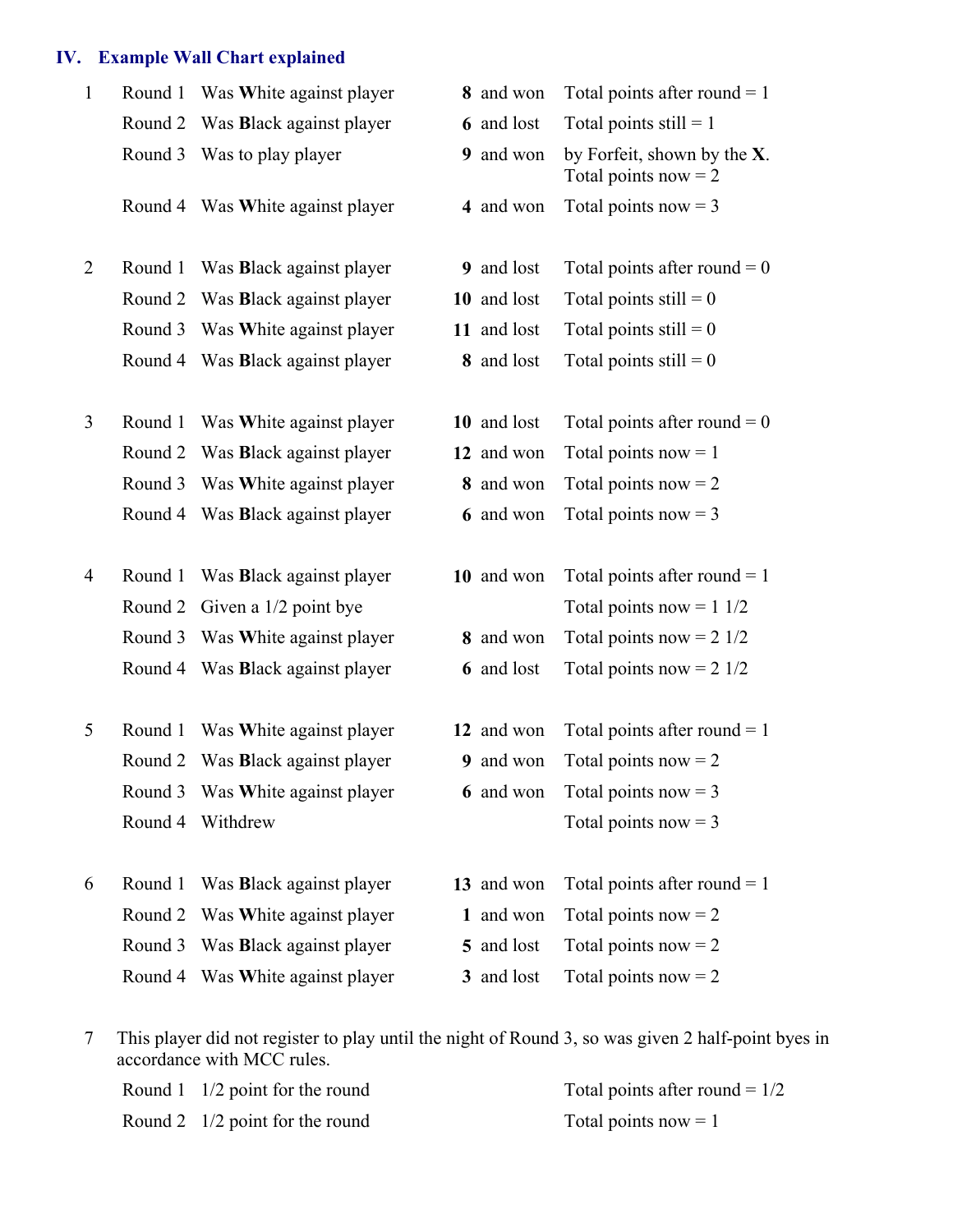## IV. Example Wall Chart explained

| $\mathbf{1}$   | Round 1 | Was White against player         | 8 and won   | Total points after round $= 1$                           |
|----------------|---------|----------------------------------|-------------|----------------------------------------------------------|
|                | Round 2 | Was <b>Black</b> against player  | 6 and lost  | Total points still $= 1$                                 |
|                | Round 3 | Was to play player               | 9 and won   | by Forfeit, shown by the $X$ .<br>Total points now $= 2$ |
|                |         | Round 4 Was White against player | 4 and won   | Total points now $=$ 3                                   |
|                |         |                                  |             |                                                          |
| $\overline{2}$ | Round 1 | Was <b>Black</b> against player  | 9 and lost  | Total points after round = $0$                           |
|                | Round 2 | Was <b>Black</b> against player  | 10 and lost | Total points still $= 0$                                 |
|                | Round 3 | Was White against player         | 11 and lost | Total points $still = 0$                                 |
|                | Round 4 | Was Black against player         | 8 and lost  | Total points still $= 0$                                 |
|                |         |                                  |             |                                                          |
| 3              | Round 1 | Was White against player         | 10 and lost | Total points after round = $0$                           |
|                | Round 2 | Was <b>Black</b> against player  | 12 and won  | Total points now $= 1$                                   |
|                | Round 3 | Was White against player         | 8 and won   | Total points now $= 2$                                   |
|                |         | Round 4 Was Black against player | 6 and won   | Total points now $=$ 3                                   |
|                |         |                                  |             |                                                          |
| $\overline{4}$ | Round 1 | Was <b>Black</b> against player  | 10 and won  | Total points after round $= 1$                           |
|                | Round 2 | Given a 1/2 point bye            |             | Total points now = $11/2$                                |
|                | Round 3 | Was White against player         | 8 and won   | Total points now = $2 \frac{1}{2}$                       |
|                | Round 4 | Was <b>Black</b> against player  | 6 and lost  | Total points now = $2 \frac{1}{2}$                       |
|                |         |                                  |             |                                                          |
| 5              | Round 1 | Was White against player         | 12 and won  | Total points after round $= 1$                           |
|                |         | Round 2 Was Black against player | 9 and won   | Total points now $= 2$                                   |
|                |         | Round 3 Was White against player | 6 and won   | Total points now $=$ 3                                   |
|                | Round 4 | Withdrew                         |             | Total points now $=$ 3                                   |
|                |         |                                  |             |                                                          |
| 6              | Round 1 | Was Black against player         | 13 and won  | Total points after round $= 1$                           |
|                | Round 2 | Was White against player         | 1 and won   | Total points now $= 2$                                   |
|                | Round 3 | Was <b>Black</b> against player  | 5 and lost  | Total points now $= 2$                                   |
|                |         | Round 4 Was White against player | 3 and lost  | Total points now $= 2$                                   |

7 This player did not register to play until the night of Round 3, so was given 2 half-point byes in accordance with MCC rules.

| Round 1 $1/2$ point for the round | Total points after round = $1/2$ |
|-----------------------------------|----------------------------------|
| Round 2 $1/2$ point for the round | Total points now $= 1$           |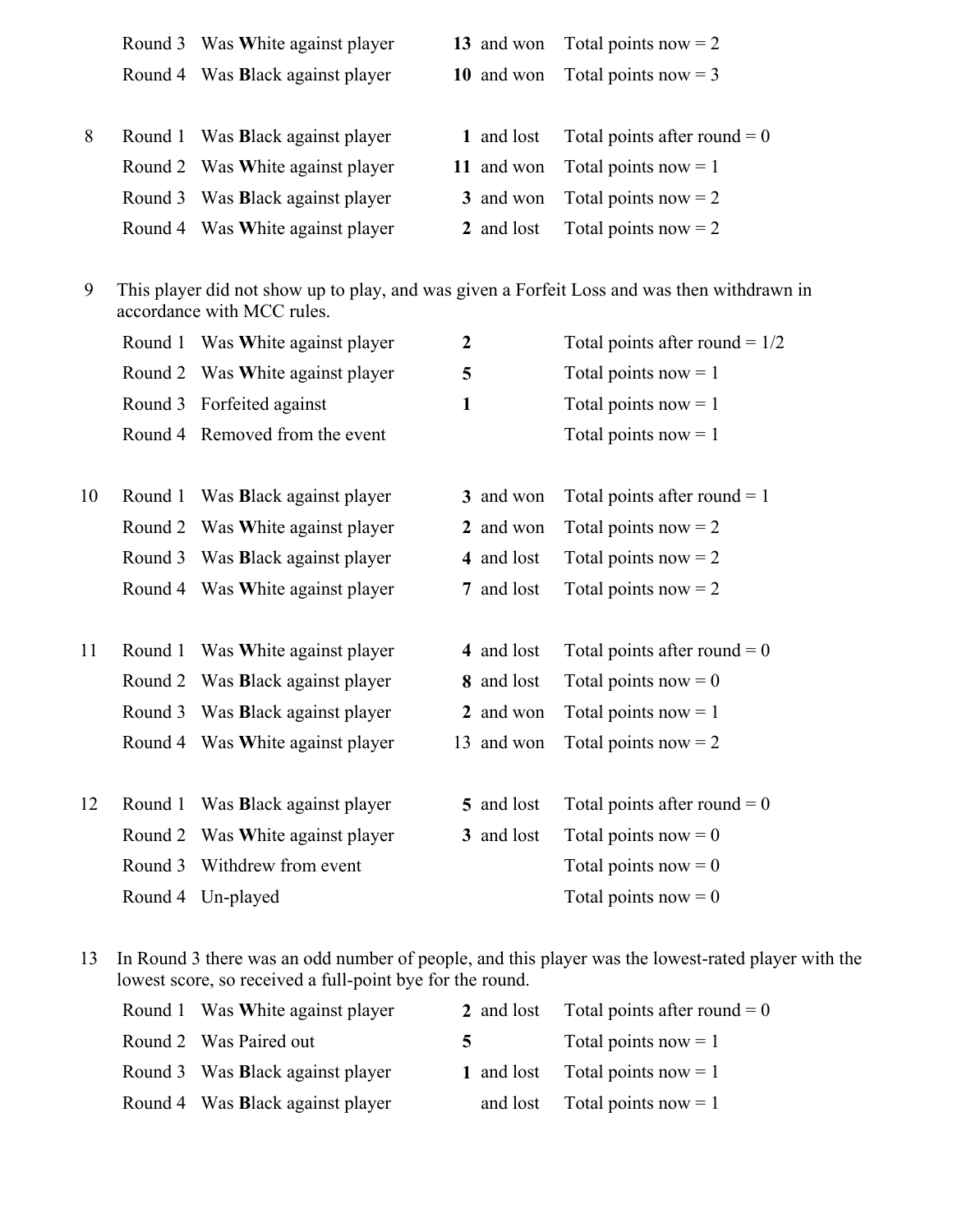|   | Round 3 Was White against player |            | 13 and won Total points now = $2 \times 2 \times 10^5$ |
|---|----------------------------------|------------|--------------------------------------------------------|
|   | Round 4 Was Black against player |            | 10 and won Total points now = 3                        |
|   |                                  |            |                                                        |
| 8 | Round 1 Was Black against player | 1 and lost | Total points after round $= 0$                         |
|   | Round 2 Was White against player |            | 11 and won Total points now $= 1$                      |
|   | Round 3 Was Black against player |            | 3 and won Total points now $= 2$                       |
|   | Round 4 Was White against player | 2 and lost | Total points now $= 2$                                 |

9 This player did not show up to play, and was given a Forfeit Loss and was then withdrawn in accordance with MCC rules.

|    | Round 1 | Was White against player         | $\boldsymbol{2}$ | Total points after round = $1/2$ |
|----|---------|----------------------------------|------------------|----------------------------------|
|    | Round 2 | Was White against player         | 5                | Total points now $= 1$           |
|    | Round 3 | Forfeited against                | $\mathbf{1}$     | Total points now $= 1$           |
|    |         | Round 4 Removed from the event   |                  | Total points now $= 1$           |
|    |         |                                  |                  |                                  |
| 10 | Round 1 | Was Black against player         | 3 and won        | Total points after round $= 1$   |
|    | Round 2 | Was White against player         | 2 and won        | Total points now $= 2$           |
|    | Round 3 | Was Black against player         | 4 and lost       | Total points now $= 2$           |
|    |         | Round 4 Was White against player | 7 and lost       | Total points now $= 2$           |
|    |         |                                  |                  |                                  |
| 11 | Round 1 | Was White against player         | 4 and lost       | Total points after round $= 0$   |
|    | Round 2 | Was <b>Black</b> against player  | 8 and lost       | Total points now $= 0$           |
|    | Round 3 | Was <b>Black</b> against player  | 2 and won        | Total points now $= 1$           |
|    | Round 4 | Was White against player         | 13 and won       | Total points now $= 2$           |
|    |         |                                  |                  |                                  |
| 12 | Round 1 | Was Black against player         | 5 and lost       | Total points after round $= 0$   |
|    | Round 2 | Was White against player         | 3 and lost       | Total points now $= 0$           |
|    | Round 3 | Withdrew from event              |                  | Total points now $= 0$           |
|    | Round 4 | Un-played                        |                  | Total points now $= 0$           |

13 In Round 3 there was an odd number of people, and this player was the lowest-rated player with the lowest score, so received a full-point bye for the round.

| Round 1 Was White against player |             | 2 and lost Total points after round $= 0$ |
|----------------------------------|-------------|-------------------------------------------|
| Round 2 Was Paired out           | $5^{\circ}$ | Total points now $= 1$                    |
| Round 3 Was Black against player |             | 1 and lost Total points now $= 1$         |
| Round 4 Was Black against player |             | and lost Total points now $= 1$           |